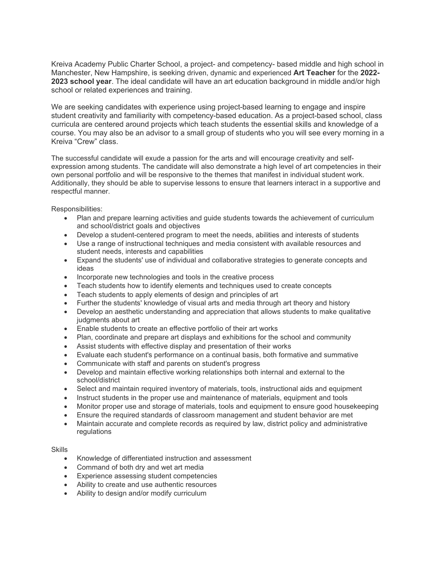Kreiva Academy Public Charter School, a project- and competency- based middle and high school in Manchester, New Hampshire, is seeking driven, dynamic and experienced **Art Teacher** for the **2022- 2023 school year**. The ideal candidate will have an art education background in middle and/or high school or related experiences and training.

We are seeking candidates with experience using project-based learning to engage and inspire student creativity and familiarity with competency-based education. As a project-based school, class curricula are centered around projects which teach students the essential skills and knowledge of a course. You may also be an advisor to a small group of students who you will see every morning in a Kreiva "Crew" class.

The successful candidate will exude a passion for the arts and will encourage creativity and selfexpression among students. The candidate will also demonstrate a high level of art competencies in their own personal portfolio and will be responsive to the themes that manifest in individual student work. Additionally, they should be able to supervise lessons to ensure that learners interact in a supportive and respectful manner.

Responsibilities:

- Plan and prepare learning activities and guide students towards the achievement of curriculum and school/district goals and objectives
- Develop a student-centered program to meet the needs, abilities and interests of students
- Use a range of instructional techniques and media consistent with available resources and student needs, interests and capabilities
- Expand the students' use of individual and collaborative strategies to generate concepts and ideas
- Incorporate new technologies and tools in the creative process
- Teach students how to identify elements and techniques used to create concepts
- Teach students to apply elements of design and principles of art
- Further the students' knowledge of visual arts and media through art theory and history
- Develop an aesthetic understanding and appreciation that allows students to make qualitative judgments about art
- Enable students to create an effective portfolio of their art works
- Plan, coordinate and prepare art displays and exhibitions for the school and community
- Assist students with effective display and presentation of their works
- Evaluate each student's performance on a continual basis, both formative and summative
- Communicate with staff and parents on student's progress
- Develop and maintain effective working relationships both internal and external to the school/district
- Select and maintain required inventory of materials, tools, instructional aids and equipment
- Instruct students in the proper use and maintenance of materials, equipment and tools
- Monitor proper use and storage of materials, tools and equipment to ensure good housekeeping
- Ensure the required standards of classroom management and student behavior are met
- Maintain accurate and complete records as required by law, district policy and administrative regulations

## **Skills**

- Knowledge of differentiated instruction and assessment
- Command of both dry and wet art media
- Experience assessing student competencies
- Ability to create and use authentic resources
- Ability to design and/or modify curriculum